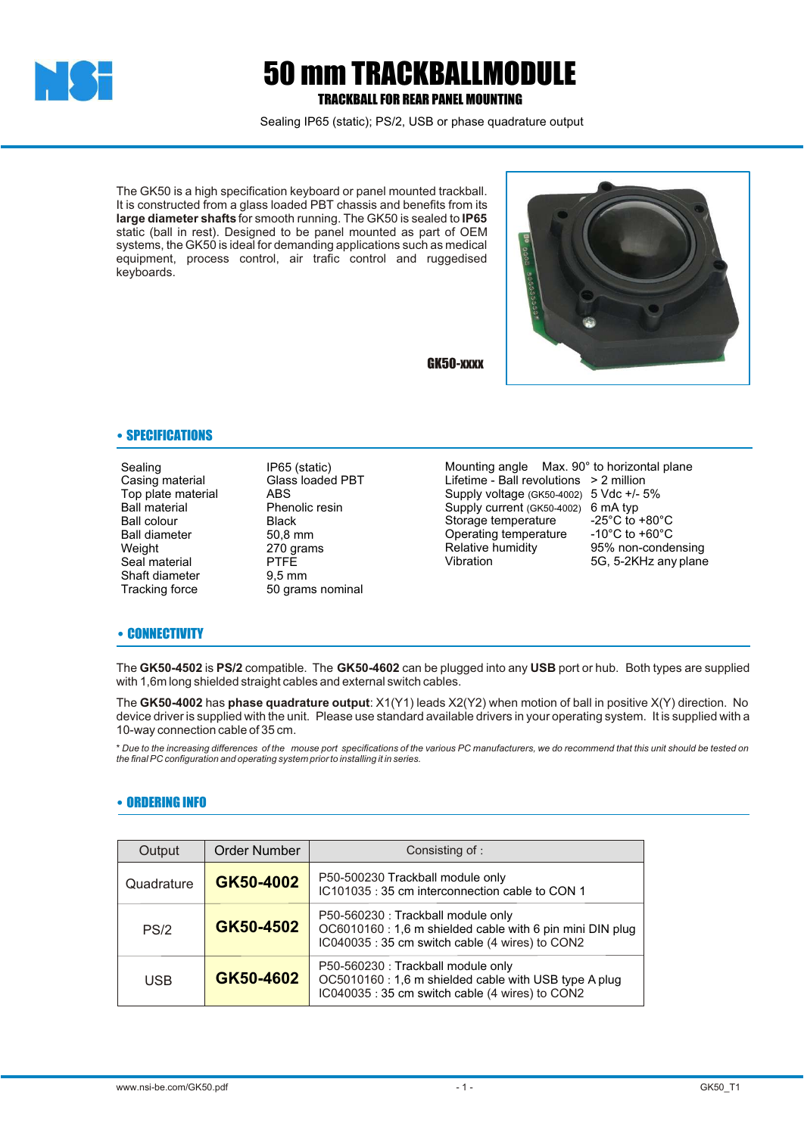

## 50 mm TRACKBALLMODULE TRACKBALL FOR REAR PANEL MOUNTING

Sealing IP65 (static); PS/2, USB or phase quadrature output

The GK50 is a high specification keyboard or panel mounted trackball. It is constructed from a glass loaded PBT chassis and benefits from its **large diameter shafts** for smooth running. The GK50 is sealed to **IP65** static (ball in rest). Designed to be panel mounted as part of OEM systems, the GK50 is ideal for demanding applications such as medical equipment, process control, air trafic control and ruggedised keyboards.

GK50-xxxx



• SPECIFICATIONS

Sealing **IP65** (static)<br>Casing material **IP65** (static) Top plate material<br>Ball material Ball colour<br>Ball diameter 60.8 mm Ball diameter<br>Weight Seal material Shaft diameter 9,5 mm<br>Tracking force 50 gram

Glass loaded PBT<br>ABS Phenolic resin<br>Black 270 grams<br>PTFF 50 grams nominal

Mounting angle Max. 90° to horizontal plane Lifetime - Ball revolutions > 2 million Supply voltage (GK50-4002) 5 Vdc +/- 5% Supply current (GK50-4002) 6 mA typ Storage temperature -25°C to +80°C<br>Operating temperature -10°C to +60°C Operating temperature<br>Relative humidity Relative humidity **95% non-condensing**<br>
Vibration **1988** 56. 5-2KHz any plane

5G, 5-2KHz any plane

## • CONNECTIVITY

The **GK50-4502** is **PS/2** compatible. The **GK50-4602** can be plugged into any **USB** port or hub. Both types are supplied with 1,6m long shielded straight cables and external switch cables.

The **GK50-4002** has **phase quadrature output**: X1(Y1) leads X2(Y2) when motion of ball in positive X(Y) direction. No device driver is supplied with the unit. Please use standard available drivers in your operating system. It is supplied with a 10-way connection cable of 35 cm.

\* *Due to the increasing differences of the mouse port specifications of the various PC manufacturers, we do recommend that this unit should be tested on the final PC configuration and operating system prior to installing it in series.*

## • ORDERING INFO

| Output     | <b>Order Number</b> | Consisting of :                                                                                                                                   |
|------------|---------------------|---------------------------------------------------------------------------------------------------------------------------------------------------|
| Quadrature | GK50-4002           | P50-500230 Trackball module only<br>IC101035: 35 cm interconnection cable to CON 1                                                                |
| PS/2       | GK50-4502           | P50-560230 : Trackball module only<br>OC6010160 : 1,6 m shielded cable with 6 pin mini DIN plug<br>IC040035: 35 cm switch cable (4 wires) to CON2 |
| <b>USB</b> | GK50-4602           | P50-560230 : Trackball module only<br>OC5010160 : 1,6 m shielded cable with USB type A plug<br>IC040035: 35 cm switch cable (4 wires) to CON2     |